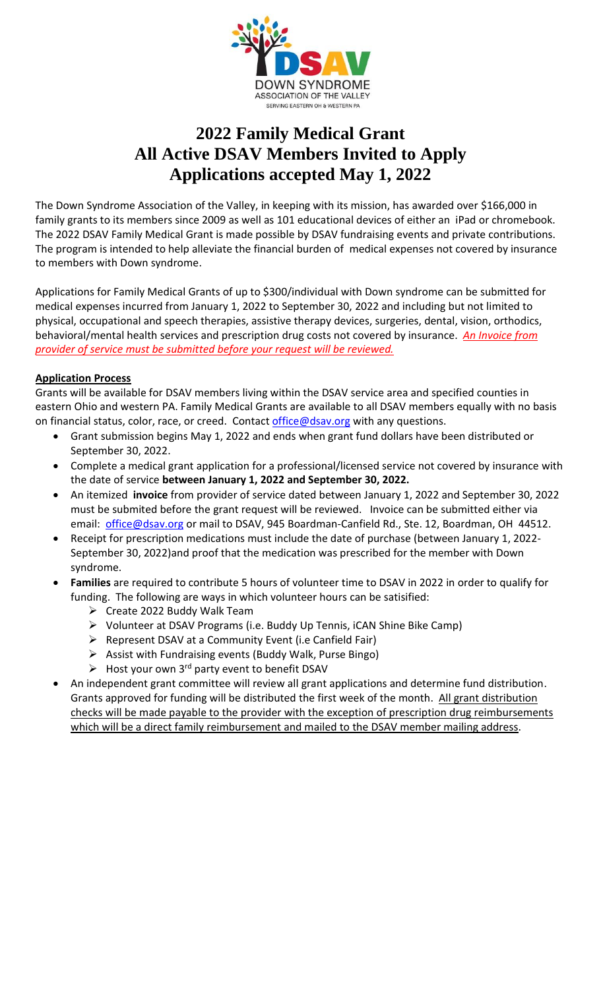

## **2022 Family Medical Grant All Active DSAV Members Invited to Apply Applications accepted May 1, 2022**

The Down Syndrome Association of the Valley, in keeping with its mission, has awarded over \$166,000 in family grants to its members since 2009 as well as 101 educational devices of either an iPad or chromebook. The 2022 DSAV Family Medical Grant is made possible by DSAV fundraising events and private contributions. The program is intended to help alleviate the financial burden of medical expenses not covered by insurance to members with Down syndrome.

Applications for Family Medical Grants of up to \$300/individual with Down syndrome can be submitted for medical expenses incurred from January 1, 2022 to September 30, 2022 and including but not limited to physical, occupational and speech therapies, assistive therapy devices, surgeries, dental, vision, orthodics, behavioral/mental health services and prescription drug costs not covered by insurance. *An Invoice from provider of service must be submitted before your request will be reviewed.*

## **Application Process**

Grants will be available for DSAV members living within the DSAV service area and specified counties in eastern Ohio and western PA. Family Medical Grants are available to all DSAV members equally with no basis on financial status, color, race, or creed. Contact [office@dsav.org](mailto:office@dsav.org) with any questions.

- Grant submission begins May 1, 2022 and ends when grant fund dollars have been distributed or September 30, 2022.
- Complete a medical grant application for a professional/licensed service not covered by insurance with the date of service **between January 1, 2022 and September 30, 2022.**
- An itemized **invoice** from provider of service dated between January 1, 2022 and September 30, 2022 must be submited before the grant request will be reviewed. Invoice can be submitted either via email: [office@dsav.org](mailto:office@dsav.org) or mail to DSAV, 945 Boardman-Canfield Rd., Ste. 12, Boardman, OH 44512.
- Receipt for prescription medications must include the date of purchase (between January 1, 2022- September 30, 2022)and proof that the medication was prescribed for the member with Down syndrome.
- **Families** are required to contribute 5 hours of volunteer time to DSAV in 2022 in order to qualify for funding. The following are ways in which volunteer hours can be satisified:
	- ➢ Create 2022 Buddy Walk Team
	- ➢ Volunteer at DSAV Programs (i.e. Buddy Up Tennis, iCAN Shine Bike Camp)
	- ➢ Represent DSAV at a Community Event (i.e Canfield Fair)
	- ➢ Assist with Fundraising events (Buddy Walk, Purse Bingo)
	- $\triangleright$  Host your own 3<sup>rd</sup> party event to benefit DSAV
- An independent grant committee will review all grant applications and determine fund distribution. Grants approved for funding will be distributed the first week of the month. All grant distribution checks will be made payable to the provider with the exception of prescription drug reimbursements which will be a direct family reimbursement and mailed to the DSAV member mailing address.